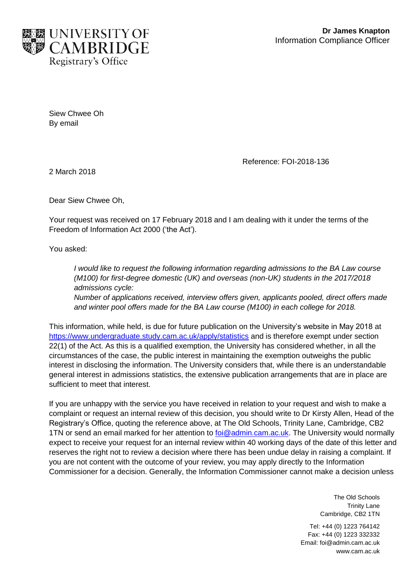

Siew Chwee Oh By email

Reference: FOI-2018-136

2 March 2018

Dear Siew Chwee Oh,

Your request was received on 17 February 2018 and I am dealing with it under the terms of the Freedom of Information Act 2000 ('the Act').

You asked:

*I would like to request the following information regarding admissions to the BA Law course (M100) for first-degree domestic (UK) and overseas (non-UK) students in the 2017/2018 admissions cycle: Number of applications received, interview offers given, applicants pooled, direct offers made* 

*and winter pool offers made for the BA Law course (M100) in each college for 2018.* This information, while held, is due for future publication on the University's website in May 2018 at

<https://www.undergraduate.study.cam.ac.uk/apply/statistics> and is therefore exempt under section 22(1) of the Act. As this is a qualified exemption, the University has considered whether, in all the circumstances of the case, the public interest in maintaining the exemption outweighs the public interest in disclosing the information. The University considers that, while there is an understandable general interest in admissions statistics, the extensive publication arrangements that are in place are sufficient to meet that interest.

If you are unhappy with the service you have received in relation to your request and wish to make a complaint or request an internal review of this decision, you should write to Dr Kirsty Allen, Head of the Registrary's Office, quoting the reference above, at The Old Schools, Trinity Lane, Cambridge, CB2 1TN or send an email marked for her attention to **foi@admin.cam.ac.uk.** The University would normally expect to receive your request for an internal review within 40 working days of the date of this letter and reserves the right not to review a decision where there has been undue delay in raising a complaint. If you are not content with the outcome of your review, you may apply directly to the Information Commissioner for a decision. Generally, the Information Commissioner cannot make a decision unless

> The Old Schools Trinity Lane Cambridge, CB2 1TN

Tel: +44 (0) 1223 764142 Fax: +44 (0) 1223 332332 Email: foi@admin.cam.ac.uk www.cam.ac.uk